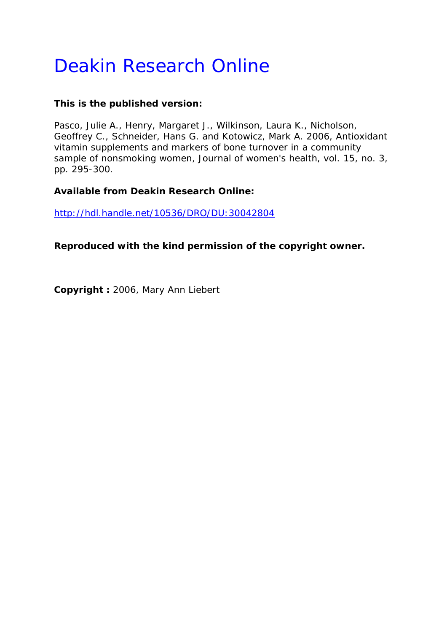# Deakin Research Online

### **This is the published version:**

Pasco, Julie A., Henry, Margaret J., Wilkinson, Laura K., Nicholson, Geoffrey C., Schneider, Hans G. and Kotowicz, Mark A. 2006, Antioxidant vitamin supplements and markers of bone turnover in a community sample of nonsmoking women*, Journal of women's health*, vol. 15, no. 3, pp. 295-300.

### **Available from Deakin Research Online:**

http://hdl.handle.net/10536/DRO/DU:30042804

**Reproduced with the kind permission of the copyright owner.** 

**Copyright :** 2006, Mary Ann Liebert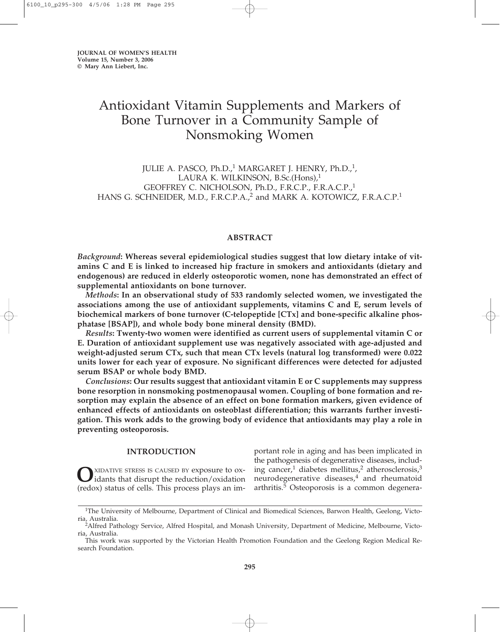**JOURNAL OF WOMEN'S HEALTH Volume 15, Number 3, 2006 © Mary Ann Liebert, Inc.**

## Antioxidant Vitamin Supplements and Markers of Bone Turnover in a Community Sample of Nonsmoking Women

JULIE A. PASCO, Ph.D.,<sup>1</sup> MARGARET J. HENRY, Ph.D.,<sup>1</sup>, LAURA K. WILKINSON, B.Sc.(Hons),<sup>1</sup> GEOFFREY C. NICHOLSON, Ph.D., F.R.C.P., F.R.A.C.P.,<sup>1</sup> HANS G. SCHNEIDER, M.D., F.R.C.P.A.,<sup>2</sup> and MARK A. KOTOWICZ, F.R.A.C.P.<sup>1</sup>

#### **ABSTRACT**

*Background***: Whereas several epidemiological studies suggest that low dietary intake of vitamins C and E is linked to increased hip fracture in smokers and antioxidants (dietary and endogenous) are reduced in elderly osteoporotic women, none has demonstrated an effect of supplemental antioxidants on bone turnover.**

*Methods***: In an observational study of 533 randomly selected women, we investigated the associations among the use of antioxidant supplements, vitamins C and E, serum levels of biochemical markers of bone turnover (C-telopeptide [CTx] and bone-specific alkaline phosphatase [BSAP]), and whole body bone mineral density (BMD).**

*Results***: Twenty-two women were identified as current users of supplemental vitamin C or E. Duration of antioxidant supplement use was negatively associated with age-adjusted and weight-adjusted serum CTx, such that mean CTx levels (natural log transformed) were 0.022 units lower for each year of exposure. No significant differences were detected for adjusted serum BSAP or whole body BMD.**

*Conclusions***: Our results suggest that antioxidant vitamin E or C supplements may suppress bone resorption in nonsmoking postmenopausal women. Coupling of bone formation and resorption may explain the absence of an effect on bone formation markers, given evidence of enhanced effects of antioxidants on osteoblast differentiation; this warrants further investigation. This work adds to the growing body of evidence that antioxidants may play a role in preventing osteoporosis.**

#### **INTRODUCTION**

**O**XIDATIVE STRESS IS CAUSED BY exposure to ox-idants that disrupt the reduction/oxidation (redox) status of cells. This process plays an important role in aging and has been implicated in the pathogenesis of degenerative diseases, including cancer,<sup>1</sup> diabetes mellitus,<sup>2</sup> atherosclerosis,<sup>3</sup> neurodegenerative diseases,<sup>4</sup> and rheumatoid arthritis.<sup>5</sup> Osteoporosis is a common degenera-

<sup>&</sup>lt;sup>1</sup>The University of Melbourne, Department of Clinical and Biomedical Sciences, Barwon Health, Geelong, Victoria, Australia. 2Alfred Pathology Service, Alfred Hospital, and Monash University, Department of Medicine, Melbourne, Victo-

ria, Australia.

This work was supported by the Victorian Health Promotion Foundation and the Geelong Region Medical Research Foundation.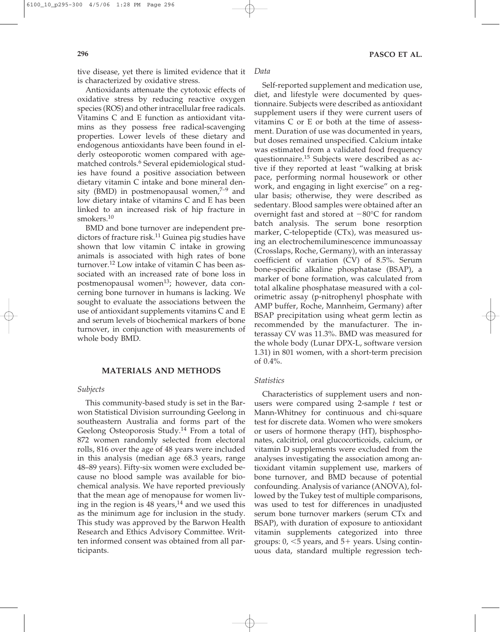tive disease, yet there is limited evidence that it is characterized by oxidative stress.

Antioxidants attenuate the cytotoxic effects of oxidative stress by reducing reactive oxygen species (ROS) and other intracellular free radicals. Vitamins C and E function as antioxidant vitamins as they possess free radical-scavenging properties. Lower levels of these dietary and endogenous antioxidants have been found in elderly osteoporotic women compared with agematched controls.6 Several epidemiological studies have found a positive association between dietary vitamin C intake and bone mineral density (BMD) in postmenopausal women, $7-9$  and low dietary intake of vitamins C and E has been linked to an increased risk of hip fracture in smokers.<sup>10</sup>

BMD and bone turnover are independent predictors of fracture risk.<sup>11</sup> Guinea pig studies have shown that low vitamin C intake in growing animals is associated with high rates of bone turnover.<sup>12</sup> Low intake of vitamin C has been associated with an increased rate of bone loss in postmenopausal women<sup>13</sup>; however, data concerning bone turnover in humans is lacking. We sought to evaluate the associations between the use of antioxidant supplements vitamins C and E and serum levels of biochemical markers of bone turnover, in conjunction with measurements of whole body BMD.

#### **MATERIALS AND METHODS**

#### *Subjects*

This community-based study is set in the Barwon Statistical Division surrounding Geelong in southeastern Australia and forms part of the Geelong Osteoporosis Study.<sup>14</sup> From a total of 872 women randomly selected from electoral rolls, 816 over the age of 48 years were included in this analysis (median age 68.3 years, range 48–89 years). Fifty-six women were excluded because no blood sample was available for biochemical analysis. We have reported previously that the mean age of menopause for women living in the region is  $48 \text{ years}$ ,<sup>14</sup> and we used this as the minimum age for inclusion in the study. This study was approved by the Barwon Health Research and Ethics Advisory Committee. Written informed consent was obtained from all participants.

### *Data*

Self-reported supplement and medication use, diet, and lifestyle were documented by questionnaire. Subjects were described as antioxidant supplement users if they were current users of vitamins C or E or both at the time of assessment. Duration of use was documented in years, but doses remained unspecified. Calcium intake was estimated from a validated food frequency questionnaire.<sup>15</sup> Subjects were described as active if they reported at least "walking at brisk pace, performing normal housework or other work, and engaging in light exercise" on a regular basis; otherwise, they were described as sedentary. Blood samples were obtained after an overnight fast and stored at  $-80^{\circ}$ C for random batch analysis. The serum bone resorption marker, C-telopeptide (CTx), was measured using an electrochemiluminescence immunoassay (Crosslaps, Roche, Germany), with an interassay coefficient of variation (CV) of 8.5%. Serum bone-specific alkaline phosphatase (BSAP), a marker of bone formation, was calculated from total alkaline phosphatase measured with a colorimetric assay (p-nitrophenyl phosphate with AMP buffer, Roche, Mannheim, Germany) after BSAP precipitation using wheat germ lectin as recommended by the manufacturer. The interassay CV was 11.3%. BMD was measured for the whole body (Lunar DPX-L, software version 1.31) in 801 women, with a short-term precision of 0.4%.

#### *Statistics*

Characteristics of supplement users and nonusers were compared using 2-sample *t* test or Mann-Whitney for continuous and chi-square test for discrete data. Women who were smokers or users of hormone therapy (HT), bisphosphonates, calcitriol, oral glucocorticoids, calcium, or vitamin D supplements were excluded from the analyses investigating the association among antioxidant vitamin supplement use, markers of bone turnover, and BMD because of potential confounding. Analysis of variance (ANOVA), followed by the Tukey test of multiple comparisons, was used to test for differences in unadjusted serum bone turnover markers (serum CTx and BSAP), with duration of exposure to antioxidant vitamin supplements categorized into three groups:  $0, <$  5 years, and  $5+$  years. Using continuous data, standard multiple regression tech-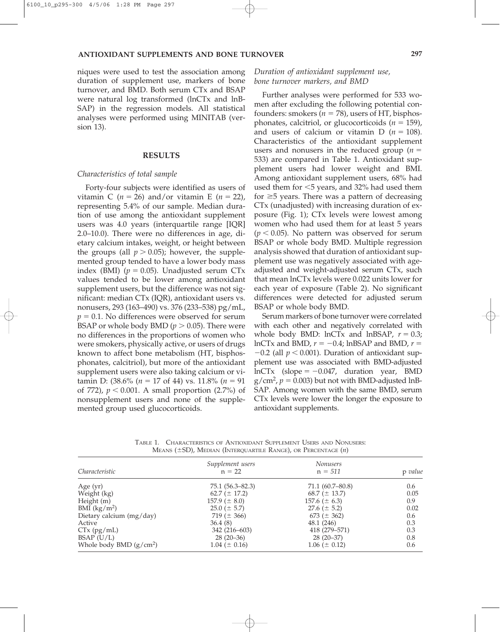#### **ANTIOXIDANT SUPPLEMENTS AND BONE TURNOVER 297**

niques were used to test the association among duration of supplement use, markers of bone turnover, and BMD. Both serum CTx and BSAP were natural log transformed (lnCTx and lnB-SAP) in the regression models. All statistical analyses were performed using MINITAB (version 13).

#### **RESULTS**

#### *Characteristics of total sample*

Forty-four subjects were identified as users of vitamin C ( $n = 26$ ) and/or vitamin E ( $n = 22$ ), representing 5.4% of our sample. Median duration of use among the antioxidant supplement users was 4.0 years (interquartile range [IQR] 2.0–10.0). There were no differences in age, dietary calcium intakes, weight, or height between the groups (all  $p > 0.05$ ); however, the supplemented group tended to have a lower body mass index (BMI)  $(p = 0.05)$ . Unadjusted serum CTx values tended to be lower among antioxidant supplement users, but the difference was not significant: median CTx (IQR), antioxidant users vs. nonusers, 293 (163–490) vs. 376 (233–538) pg/mL,  $p = 0.1$ . No differences were observed for serum BSAP or whole body BMD ( $p > 0.05$ ). There were no differences in the proportions of women who were smokers, physically active, or users of drugs known to affect bone metabolism (HT, bisphosphonates, calcitriol), but more of the antioxidant supplement users were also taking calcium or vitamin D:  $(38.6\% (n = 17 \text{ of } 44) \text{ vs. } 11.8\% (n = 91$ of 772),  $p < 0.001$ . A small proportion  $(2.7%)$  of nonsupplement users and none of the supplemented group used glucocorticoids.

### *Duration of antioxidant supplement use, bone turnover markers, and BMD*

Further analyses were performed for 533 women after excluding the following potential confounders: smokers ( $n = 78$ ), users of HT, bisphosphonates, calcitriol, or glucocorticoids  $(n = 159)$ , and users of calcium or vitamin D ( $n = 108$ ). Characteristics of the antioxidant supplement users and nonusers in the reduced group  $(n =$ 533) are compared in Table 1. Antioxidant supplement users had lower weight and BMI. Among antioxidant supplement users, 68% had used them for -5 years, and 32% had used them for  $\geq$ 5 years. There was a pattern of decreasing CTx (unadjusted) with increasing duration of exposure (Fig. 1); CTx levels were lowest among women who had used them for at least 5 years  $(p < 0.05)$ . No pattern was observed for serum BSAP or whole body BMD. Multiple regression analysis showed that duration of antioxidant supplement use was negatively associated with ageadjusted and weight-adjusted serum CTx, such that mean lnCTx levels were 0.022 units lower for each year of exposure (Table 2). No significant differences were detected for adjusted serum BSAP or whole body BMD.

Serum markers of bone turnover were correlated with each other and negatively correlated with whole body BMD:  $lnCTx$  and  $lnBSAP$ ,  $r = 0.3$ ; lnCTx and BMD,  $r = -0.4$ ; lnBSAP and BMD,  $r =$  $-0.2$  (all  $p < 0.001$ ). Duration of antioxidant supplement use was associated with BMD-adjusted  $lnCTx$  (slope = -0.047, duration year, BMD  $g/cm^2$ ,  $p = 0.003$ ) but not with BMD-adjusted lnB-SAP. Among women with the same BMD, serum CTx levels were lower the longer the exposure to antioxidant supplements.

TABLE 1. CHARACTERISTICS OF ANTIOXIDANT SUPPLEMENT USERS AND NONUSERS: MEANS (±SD), MEDIAN (INTERQUARTILE RANGE), OR PERCENTAGE (*n*)

| Characteristic             | Supplement users<br>$n = 22$ | <b>Nonusers</b><br>$n = 511$ | p value |
|----------------------------|------------------------------|------------------------------|---------|
| Age $(yr)$                 | $75.1(56.3 - 82.3)$          | 71.1 (60.7–80.8)             | 0.6     |
| Weight (kg)                | 62.7 ( $\pm$ 17.2)           | 68.7 ( $\pm$ 13.7)           | 0.05    |
| Height (m)                 | 157.9 ( $\pm$ 8.0)           | 157.6 ( $\pm$ 6.3)           | 0.9     |
| BMI $(kg/m^2)$             | $25.0 (\pm 5.7)$             | $27.6 (\pm 5.2)$             | 0.02    |
| Dietary calcium $(mg/day)$ | 719 $(\pm 366)$              | $673 (\pm 362)$              | 0.6     |
| Active                     | 36.4(8)                      | 48.1 (246)                   | 0.3     |
| CTx (pg/mL)                | 342 (216–603)                | 418 (279–571)                | 0.3     |
| $BSAP$ (U/L)               | $28(20-36)$                  | $28(20-37)$                  | 0.8     |
| Whole body BMD $(g/cm^2)$  | $1.04 \ (\pm 0.16)$          | $1.06 (\pm 0.12)$            | 0.6     |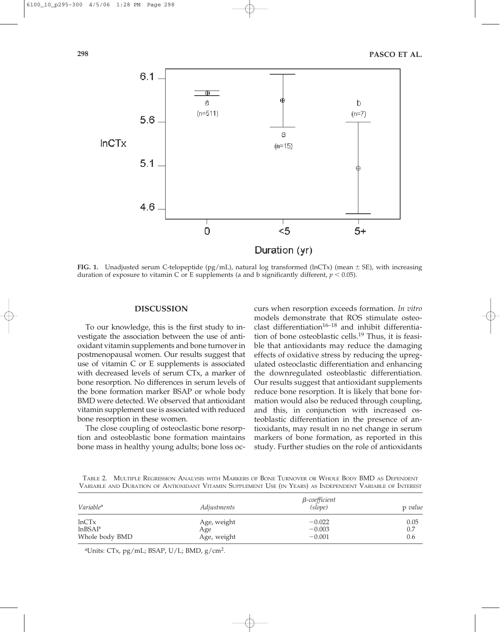

**FIG. 1.** Unadjusted serum C-telopeptide (pg/mL), natural log transformed (lnCTx) (mean  $\pm$  SE), with increasing duration of exposure to vitamin C or E supplements (a and b significantly different,  $p < 0.05$ ).

#### **DISCUSSION**

To our knowledge, this is the first study to investigate the association between the use of antioxidant vitamin supplements and bone turnover in postmenopausal women. Our results suggest that use of vitamin C or E supplements is associated with decreased levels of serum CTx, a marker of bone resorption. No differences in serum levels of the bone formation marker BSAP or whole body BMD were detected. We observed that antioxidant vitamin supplement use is associated with reduced bone resorption in these women.

The close coupling of osteoclastic bone resorption and osteoblastic bone formation maintains bone mass in healthy young adults; bone loss occurs when resorption exceeds formation. *In vitro* models demonstrate that ROS stimulate osteoclast differentiation $16-18$  and inhibit differentiation of bone osteoblastic cells.19 Thus, it is feasible that antioxidants may reduce the damaging effects of oxidative stress by reducing the upregulated osteoclastic differentiation and enhancing the downregulated osteoblastic differentiation. Our results suggest that antioxidant supplements reduce bone resorption. It is likely that bone formation would also be reduced through coupling, and this, in conjunction with increased osteoblastic differentiation in the presence of antioxidants, may result in no net change in serum markers of bone formation, as reported in this study. Further studies on the role of antioxidants

TABLE 2. MULTIPLE REGRESSION ANALYSIS WITH MARKERS OF BONE TURNOVER OR WHOLE BODY BMD AS DEPENDENT VARIABLE AND DURATION OF ANTIOXIDANT VITAMIN SUPPLEMENT USE (IN YEARS) AS INDEPENDENT VARIABLE OF INTEREST

| Variable <sup>a</sup> | <i>Adjustments</i> | $\beta$ -coefficient<br>(slope) | p value |
|-----------------------|--------------------|---------------------------------|---------|
| lnCTx                 | Age, weight        | $-0.022$                        | 0.05    |
| $ln$ BSAP             | Age                | $-0.003$                        | 0.7     |
| Whole body BMD        | Age, weight        | $-0.001$                        | 0.6     |

aUnits: CTx, pg/mL; BSAP, U/L; BMD, g/cm2.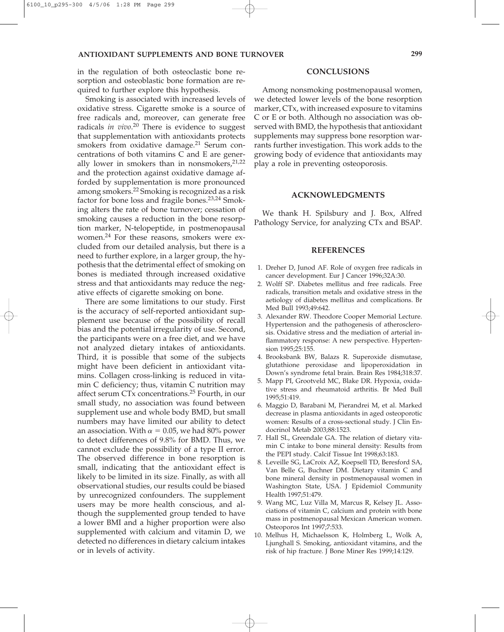in the regulation of both osteoclastic bone resorption and osteoblastic bone formation are required to further explore this hypothesis.

Smoking is associated with increased levels of oxidative stress. Cigarette smoke is a source of free radicals and, moreover, can generate free radicals *in vivo*. <sup>20</sup> There is evidence to suggest that supplementation with antioxidants protects smokers from oxidative damage.<sup>21</sup> Serum concentrations of both vitamins C and E are generally lower in smokers than in nonsmokers, 21,22 and the protection against oxidative damage afforded by supplementation is more pronounced among smokers.22 Smoking is recognized as a risk factor for bone loss and fragile bones.23,24 Smoking alters the rate of bone turnover; cessation of smoking causes a reduction in the bone resorption marker, N-telopeptide, in postmenopausal women.24 For these reasons, smokers were excluded from our detailed analysis, but there is a need to further explore, in a larger group, the hypothesis that the detrimental effect of smoking on bones is mediated through increased oxidative stress and that antioxidants may reduce the negative effects of cigarette smoking on bone.

There are some limitations to our study. First is the accuracy of self-reported antioxidant supplement use because of the possibility of recall bias and the potential irregularity of use. Second, the participants were on a free diet, and we have not analyzed dietary intakes of antioxidants. Third, it is possible that some of the subjects might have been deficient in antioxidant vitamins. Collagen cross-linking is reduced in vitamin C deficiency; thus, vitamin C nutrition may affect serum CTx concentrations.<sup>25</sup> Fourth, in our small study, no association was found between supplement use and whole body BMD, but small numbers may have limited our ability to detect an association. With  $\alpha = 0.05$ , we had 80% power to detect differences of 9.8% for BMD. Thus, we cannot exclude the possibility of a type II error. The observed difference in bone resorption is small, indicating that the antioxidant effect is likely to be limited in its size. Finally, as with all observational studies, our results could be biased by unrecognized confounders. The supplement users may be more health conscious, and although the supplemented group tended to have a lower BMI and a higher proportion were also supplemented with calcium and vitamin D, we detected no differences in dietary calcium intakes or in levels of activity.

#### **CONCLUSIONS**

Among nonsmoking postmenopausal women, we detected lower levels of the bone resorption marker, CTx, with increased exposure to vitamins C or E or both. Although no association was observed with BMD, the hypothesis that antioxidant supplements may suppress bone resorption warrants further investigation. This work adds to the growing body of evidence that antioxidants may play a role in preventing osteoporosis.

#### **ACKNOWLEDGMENTS**

We thank H. Spilsbury and J. Box, Alfred Pathology Service, for analyzing CTx and BSAP.

#### **REFERENCES**

- 1. Dreher D, Junod AF. Role of oxygen free radicals in cancer development. Eur J Cancer 1996;32A:30.
- 2. Wolff SP. Diabetes mellitus and free radicals. Free radicals, transition metals and oxidative stress in the aetiology of diabetes mellitus and complications. Br Med Bull 1993;49:642.
- 3. Alexander RW. Theodore Cooper Memorial Lecture. Hypertension and the pathogenesis of atherosclerosis. Oxidative stress and the mediation of arterial inflammatory response: A new perspective. Hypertension 1995;25:155.
- 4. Brooksbank BW, Balazs R. Superoxide dismutase, glutathione peroxidase and lipoperoxidation in Down's syndrome fetal brain. Brain Res 1984;318:37.
- 5. Mapp PI, Grootveld MC, Blake DR. Hypoxia, oxidative stress and rheumatoid arthritis. Br Med Bull 1995;51:419.
- 6. Maggio D, Barabani M, Pierandrei M, et al. Marked decrease in plasma antioxidants in aged osteoporotic women: Results of a cross-sectional study. J Clin Endocrinol Metab 2003;88:1523.
- 7. Hall SL, Greendale GA. The relation of dietary vitamin C intake to bone mineral density: Results from the PEPI study. Calcif Tissue Int 1998;63:183.
- 8. Leveille SG, LaCroix AZ, Koepsell TD, Beresford SA, Van Belle G, Buchner DM. Dietary vitamin C and bone mineral density in postmenopausal women in Washington State, USA. J Epidemiol Community Health 1997;51:479.
- 9. Wang MC, Luz Villa M, Marcus R, Kelsey JL. Associations of vitamin C, calcium and protein with bone mass in postmenopausal Mexican American women. Osteoporos Int 1997;7:533.
- 10. Melhus H, Michaelsson K, Holmberg L, Wolk A, Ljunghall S. Smoking, antioxidant vitamins, and the risk of hip fracture. J Bone Miner Res 1999;14:129.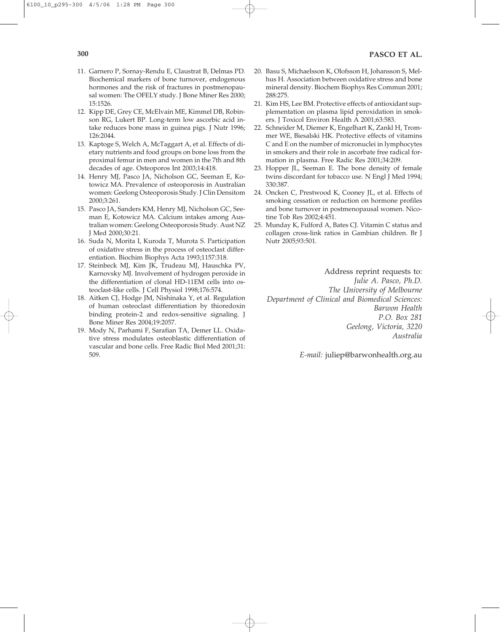- 11. Garnero P, Sornay-Rendu E, Claustrat B, Delmas PD. Biochemical markers of bone turnover, endogenous hormones and the risk of fractures in postmenopausal women: The OFELY study. J Bone Miner Res 2000; 15:1526.
- 12. Kipp DE, Grey CE, McElvain ME, Kimmel DB, Robinson RG, Lukert BP. Long-term low ascorbic acid intake reduces bone mass in guinea pigs. J Nutr 1996; 126:2044.
- 13. Kaptoge S, Welch A, McTaggart A, et al. Effects of dietary nutrients and food groups on bone loss from the proximal femur in men and women in the 7th and 8th decades of age. Osteoporos Int 2003;14:418.
- 14. Henry MJ, Pasco JA, Nicholson GC, Seeman E, Kotowicz MA. Prevalence of osteoporosis in Australian women: Geelong Osteoporosis Study. J Clin Densitom 2000;3:261.
- 15. Pasco JA, Sanders KM, Henry MJ, Nicholson GC, Seeman E, Kotowicz MA. Calcium intakes among Australian women: Geelong Osteoporosis Study. Aust NZ J Med 2000;30:21.
- 16. Suda N, Morita I, Kuroda T, Murota S. Participation of oxidative stress in the process of osteoclast differentiation. Biochim Biophys Acta 1993;1157:318.
- 17. Steinbeck MJ, Kim JK, Trudeau MJ, Hauschka PV, Karnovsky MJ. Involvement of hydrogen peroxide in the differentiation of clonal HD-11EM cells into osteoclast-like cells. J Cell Physiol 1998;176:574.
- 18. Aitken CJ, Hodge JM, Nishinaka Y, et al. Regulation of human osteoclast differentiation by thioredoxin binding protein-2 and redox-sensitive signaling. J Bone Miner Res 2004;19:2057.
- 19. Mody N, Parhami F, Sarafian TA, Demer LL. Oxidative stress modulates osteoblastic differentiation of vascular and bone cells. Free Radic Biol Med 2001;31: 509.
- 20. Basu S, Michaelsson K, Olofsson H, Johansson S, Melhus H. Association between oxidative stress and bone mineral density. Biochem Biophys Res Commun 2001; 288:275.
- 21. Kim HS, Lee BM. Protective effects of antioxidant supplementation on plasma lipid peroxidation in smokers. J Toxicol Environ Health A 2001;63:583.
- 22. Schneider M, Diemer K, Engelhart K, Zankl H, Trommer WE, Biesalski HK. Protective effects of vitamins C and E on the number of micronuclei in lymphocytes in smokers and their role in ascorbate free radical formation in plasma. Free Radic Res 2001;34:209.
- 23. Hopper JL, Seeman E. The bone density of female twins discordant for tobacco use. N Engl J Med 1994; 330:387.
- 24. Oncken C, Prestwood K, Cooney JL, et al. Effects of smoking cessation or reduction on hormone profiles and bone turnover in postmenopausal women. Nicotine Tob Res 2002;4:451.
- 25. Munday K, Fulford A, Bates CJ. Vitamin C status and collagen cross-link ratios in Gambian children. Br J Nutr 2005;93:501.

Address reprint requests to: *Julie A. Pasco, Ph.D. The University of Melbourne Department of Clinical and Biomedical Sciences: Barwon Health P.O. Box 281 Geelong, Victoria, 3220 Australia*

*E-mail:* juliep@barwonhealth.org.au